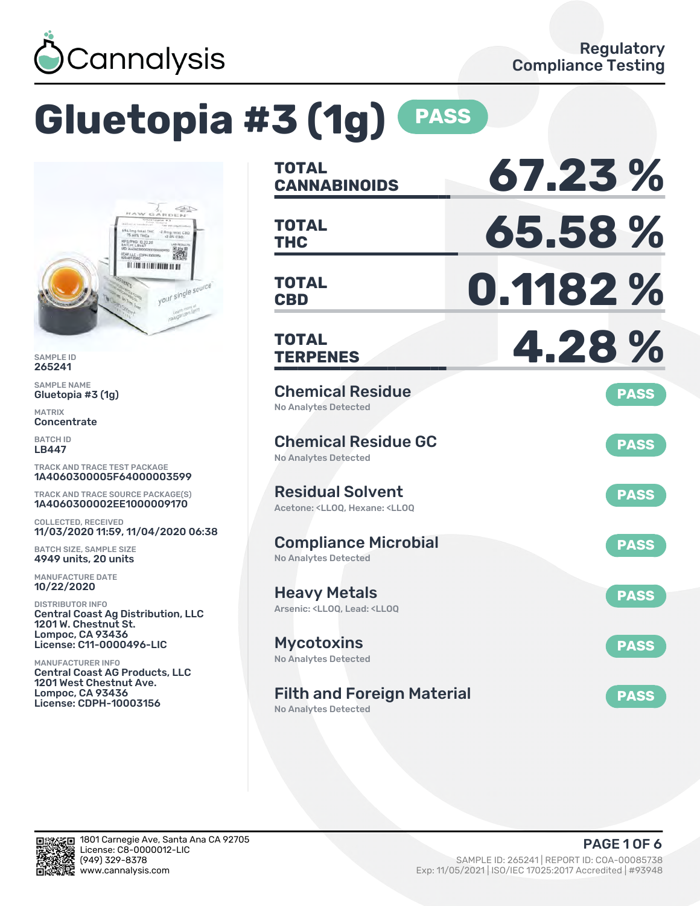

# **Gluetopia #3 (1g) PASS**



SAMPLE ID 265241

SAMPLE NAME Gluetopia #3 (1g)

MATRIX **Concentrate** 

BATCH ID LB447

TRACK AND TRACE TEST PACKAGE 1A4060300005F64000003599

TRACK AND TRACE SOURCE PACKAGE(S) 1A4060300002EE1000009170

COLLECTED, RECEIVED 11/03/2020 11:59, 11/04/2020 06:38

BATCH SIZE, SAMPLE SIZE 4949 units, 20 units

MANUFACTURE DATE 10/22/2020

DISTRIBUTOR INFO Central Coast Ag Distribution, LLC 1201 W. Chestnut St. Lompoc, CA 93436 License: C11-0000496-LIC

MANUFACTURER INFO Central Coast AG Products, LLC 1201 West Chestnut Ave. Lompoc, CA 93436 License: CDPH-10003156

| <b>TOTAL</b><br><b>CANNABINOIDS</b>                                                                | 67.23%      |
|----------------------------------------------------------------------------------------------------|-------------|
| <b>TOTAL</b><br>THC                                                                                | 65.58%      |
| <b>TOTAL</b><br><b>CBD</b>                                                                         | 0.1182 %    |
| <b>TOTAL</b><br><b>TERPENES</b>                                                                    | 4.28%       |
| <b>Chemical Residue</b><br><b>No Analytes Detected</b>                                             | <b>PASS</b> |
| <b>Chemical Residue GC</b><br><b>No Analytes Detected</b>                                          | <b>PASS</b> |
| <b>Residual Solvent</b><br>Acetone: <ll00. <ll00<="" hexane:="" td=""><td><b>PASS</b></td></ll00.> | <b>PASS</b> |
| <b>Compliance Microbial</b><br><b>No Analytes Detected</b>                                         | <b>PASS</b> |
| <b>Heavy Metals</b><br>Arsenic: <lloq, <lloq<="" lead:="" td=""><td><b>PASS</b></td></lloq,>       | <b>PASS</b> |
| <b>Mycotoxins</b><br>No Analytes Detected                                                          | <b>PASS</b> |
| <b>Filth and Foreign Material</b>                                                                  | <b>PASS</b> |

No Analytes Detected

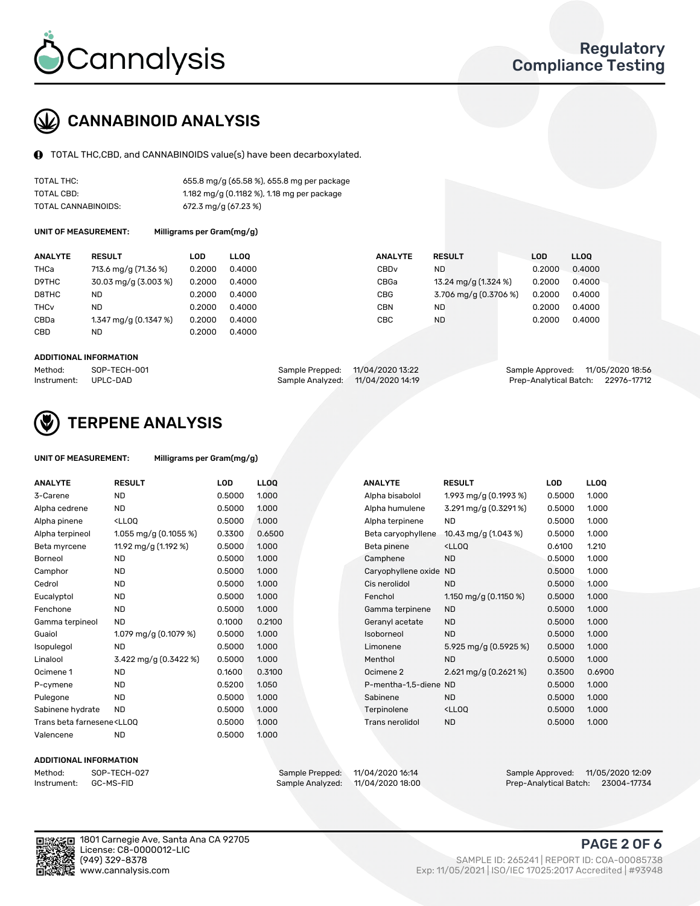

### CANNABINOID ANALYSIS

TOTAL THC,CBD, and CANNABINOIDS value(s) have been decarboxylated.

| TOTAL THC:          | 655.8 mg/g (65.58 %), 655.8 mg per package |
|---------------------|--------------------------------------------|
| TOTAL CBD:          | 1.182 mg/g (0.1182 %), 1.18 mg per package |
| TOTAL CANNABINOIDS: | $672.3$ mg/g $(67.23\%)$                   |

UNIT OF MEASUREMENT:

|  |  | Milligrams per Gram(mg/g) |  |
|--|--|---------------------------|--|
|--|--|---------------------------|--|

| <b>ANALYTE</b>         | <b>RESULT</b>         | LOD    | <b>LLOO</b> | <b>ANALYTE</b> | <b>RESULT</b>         | <b>LOD</b> | <b>LLOO</b> |
|------------------------|-----------------------|--------|-------------|----------------|-----------------------|------------|-------------|
| THCa                   | 713.6 mg/g (71.36 %)  | 0.2000 | 0.4000      | CBDv           | ND.                   | 0.2000     | 0.4000      |
| D9THC                  | 30.03 mg/g (3.003 %)  | 0.2000 | 0.4000      | CBGa           | 13.24 mg/g (1.324 %)  | 0.2000     | 0.4000      |
| D8THC                  | ND                    | 0.2000 | 0.4000      | CBG            | 3.706 mg/g (0.3706 %) | 0.2000     | 0.4000      |
| <b>THC<sub>v</sub></b> | ND                    | 0.2000 | 0.4000      | CBN            | ND                    | 0.2000     | 0.4000      |
| CBDa                   | 1.347 mg/g (0.1347 %) | 0.2000 | 0.4000      | CBC            | ND                    | 0.2000     | 0.4000      |
| CBD                    | <b>ND</b>             | 0.2000 | 0.4000      |                |                       |            |             |
|                        |                       |        |             |                |                       |            |             |

#### ADDITIONAL INFORMATION

| Method:              | SOP-TECH-001 | Sample Prepped: 11/04/2020 13:22  | Sample Approved: 11/05/2020 18:56  |  |
|----------------------|--------------|-----------------------------------|------------------------------------|--|
| Instrument: UPLC-DAD |              | Sample Analyzed: 11/04/2020 14:19 | Prep-Analytical Batch: 22976-17712 |  |



### TERPENE ANALYSIS

| UNIT OF MEASUREMENT: | Milligrams per Gram(mg/g) |
|----------------------|---------------------------|
|----------------------|---------------------------|

| <b>ANALYTE</b>                                                                                                                                                   | <b>RESULT</b>                                                                                                                      | <b>LOD</b> | LL <sub>OO</sub> |  | <b>ANALYTE</b>         | <b>RESULT</b>                                      | <b>LOD</b> | <b>LLOQ</b> |
|------------------------------------------------------------------------------------------------------------------------------------------------------------------|------------------------------------------------------------------------------------------------------------------------------------|------------|------------------|--|------------------------|----------------------------------------------------|------------|-------------|
| 3-Carene                                                                                                                                                         | <b>ND</b>                                                                                                                          | 0.5000     | 1.000            |  | Alpha bisabolol        | 1.993 mg/g $(0.1993\%)$                            | 0.5000     | 1.000       |
| Alpha cedrene                                                                                                                                                    | <b>ND</b>                                                                                                                          | 0.5000     | 1.000            |  | Alpha humulene         | 3.291 mg/g (0.3291%)                               | 0.5000     | 1.000       |
| Alpha pinene                                                                                                                                                     | <lloq< td=""><td>0.5000</td><td>1.000</td><td></td><td>Alpha terpinene</td><td><b>ND</b></td><td>0.5000</td><td>1.000</td></lloq<> | 0.5000     | 1.000            |  | Alpha terpinene        | <b>ND</b>                                          | 0.5000     | 1.000       |
| Alpha terpineol                                                                                                                                                  | 1.055 mg/g $(0.1055\%)$                                                                                                            | 0.3300     | 0.6500           |  | Beta caryophyllene     | 10.43 mg/g (1.043 %)                               | 0.5000     | 1.000       |
| Beta myrcene                                                                                                                                                     | 11.92 mg/g (1.192 %)                                                                                                               | 0.5000     | 1.000            |  | Beta pinene            | <ll0q< td=""><td>0.6100</td><td>1.210</td></ll0q<> | 0.6100     | 1.210       |
| Borneol                                                                                                                                                          | <b>ND</b>                                                                                                                          | 0.5000     | 1.000            |  | Camphene               | <b>ND</b>                                          | 0.5000     | 1.000       |
| Camphor                                                                                                                                                          | <b>ND</b>                                                                                                                          | 0.5000     | 1.000            |  | Caryophyllene oxide ND |                                                    | 0.5000     | 1.000       |
| Cedrol                                                                                                                                                           | <b>ND</b>                                                                                                                          | 0.5000     | 1.000            |  | Cis nerolidol          | <b>ND</b>                                          | 0.5000     | 1.000       |
| Eucalyptol                                                                                                                                                       | <b>ND</b>                                                                                                                          | 0.5000     | 1.000            |  | Fenchol                | 1.150 mg/g $(0.1150 \%)$                           | 0.5000     | 1.000       |
| Fenchone                                                                                                                                                         | <b>ND</b>                                                                                                                          | 0.5000     | 1.000            |  | Gamma terpinene        | <b>ND</b>                                          | 0.5000     | 1.000       |
| Gamma terpineol                                                                                                                                                  | <b>ND</b>                                                                                                                          | 0.1000     | 0.2100           |  | Geranyl acetate        | <b>ND</b>                                          | 0.5000     | 1.000       |
| Guaiol                                                                                                                                                           | 1.079 mg/g (0.1079 %)                                                                                                              | 0.5000     | 1.000            |  | Isoborneol             | <b>ND</b>                                          | 0.5000     | 1.000       |
| Isopulegol                                                                                                                                                       | <b>ND</b>                                                                                                                          | 0.5000     | 1.000            |  | Limonene               | 5.925 mg/g (0.5925 %)                              | 0.5000     | 1.000       |
| Linalool                                                                                                                                                         | 3.422 mg/g (0.3422 %)                                                                                                              | 0.5000     | 1.000            |  | Menthol                | <b>ND</b>                                          | 0.5000     | 1.000       |
| Ocimene 1                                                                                                                                                        | <b>ND</b>                                                                                                                          | 0.1600     | 0.3100           |  | Ocimene 2              | 2.621 mg/g $(0.2621\%)$                            | 0.3500     | 0.6900      |
| P-cymene                                                                                                                                                         | <b>ND</b>                                                                                                                          | 0.5200     | 1.050            |  | P-mentha-1,5-diene ND  |                                                    | 0.5000     | 1.000       |
| Pulegone                                                                                                                                                         | <b>ND</b>                                                                                                                          | 0.5000     | 1.000            |  | Sabinene               | <b>ND</b>                                          | 0.5000     | 1.000       |
| Sabinene hydrate                                                                                                                                                 | <b>ND</b>                                                                                                                          | 0.5000     | 1.000            |  | Terpinolene            | <ll0q< td=""><td>0.5000</td><td>1.000</td></ll0q<> | 0.5000     | 1.000       |
| Trans beta farnesene <ll00< td=""><td></td><td>0.5000</td><td>1.000</td><td></td><td>Trans nerolidol</td><td><b>ND</b></td><td>0.5000</td><td>1.000</td></ll00<> |                                                                                                                                    | 0.5000     | 1.000            |  | Trans nerolidol        | <b>ND</b>                                          | 0.5000     | 1.000       |
| Valencene                                                                                                                                                        | <b>ND</b>                                                                                                                          | 0.5000     | 1.000            |  |                        |                                                    |            |             |

#### ADDITIONAL INFORMATION



Method: SOP-TECH-027 Sample Prepped: 11/04/2020 16:14 Sample Approved: 11/05/2020 12:09 Prep-Analytical Batch: 23004-17734

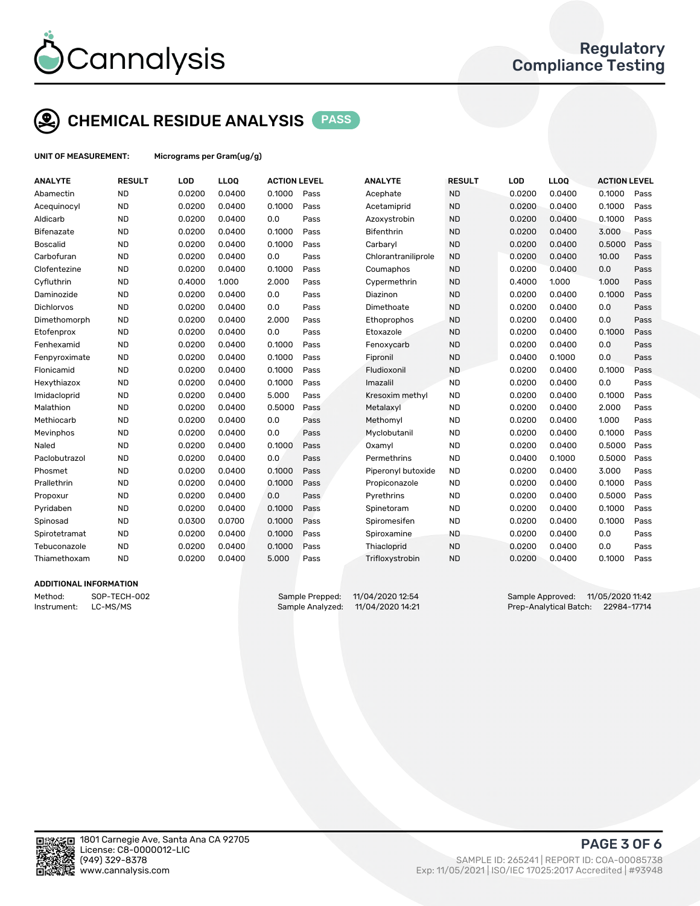

### CHEMICAL RESIDUE ANALYSIS PASS

UNIT OF MEASUREMENT: Micrograms per Gram(ug/g)

| <b>ANALYTE</b>         | <b>RESULT</b> | LOD    | LLOQ   | <b>ACTION LEVEL</b> |      | <b>ANALYTE</b>      | <b>RESULT</b> | LOD    | LLOQ   | <b>ACTION LEVEL</b> |      |
|------------------------|---------------|--------|--------|---------------------|------|---------------------|---------------|--------|--------|---------------------|------|
| Abamectin              | <b>ND</b>     | 0.0200 | 0.0400 | 0.1000              | Pass | Acephate            | <b>ND</b>     | 0.0200 | 0.0400 | 0.1000              | Pass |
| Acequinocyl            | <b>ND</b>     | 0.0200 | 0.0400 | 0.1000              | Pass | Acetamiprid         | <b>ND</b>     | 0.0200 | 0.0400 | 0.1000              | Pass |
| Aldicarb               | <b>ND</b>     | 0.0200 | 0.0400 | 0.0                 | Pass | Azoxystrobin        | <b>ND</b>     | 0.0200 | 0.0400 | 0.1000              | Pass |
| Bifenazate             | <b>ND</b>     | 0.0200 | 0.0400 | 0.1000              | Pass | <b>Bifenthrin</b>   | <b>ND</b>     | 0.0200 | 0.0400 | 3.000               | Pass |
| <b>Boscalid</b>        | <b>ND</b>     | 0.0200 | 0.0400 | 0.1000              | Pass | Carbaryl            | <b>ND</b>     | 0.0200 | 0.0400 | 0.5000              | Pass |
| Carbofuran             | <b>ND</b>     | 0.0200 | 0.0400 | 0.0                 | Pass | Chlorantraniliprole | <b>ND</b>     | 0.0200 | 0.0400 | 10.00               | Pass |
| Clofentezine           | <b>ND</b>     | 0.0200 | 0.0400 | 0.1000              | Pass | Coumaphos           | <b>ND</b>     | 0.0200 | 0.0400 | 0.0                 | Pass |
| Cyfluthrin             | <b>ND</b>     | 0.4000 | 1.000  | 2.000               | Pass | Cypermethrin        | <b>ND</b>     | 0.4000 | 1.000  | 1.000               | Pass |
| Daminozide             | <b>ND</b>     | 0.0200 | 0.0400 | 0.0                 | Pass | Diazinon            | <b>ND</b>     | 0.0200 | 0.0400 | 0.1000              | Pass |
| Dichlorvos             | <b>ND</b>     | 0.0200 | 0.0400 | 0.0                 | Pass | Dimethoate          | <b>ND</b>     | 0.0200 | 0.0400 | 0.0                 | Pass |
| Dimethomorph           | <b>ND</b>     | 0.0200 | 0.0400 | 2.000               | Pass | Ethoprophos         | <b>ND</b>     | 0.0200 | 0.0400 | 0.0                 | Pass |
| Etofenprox             | <b>ND</b>     | 0.0200 | 0.0400 | 0.0                 | Pass | Etoxazole           | <b>ND</b>     | 0.0200 | 0.0400 | 0.1000              | Pass |
| Fenhexamid             | <b>ND</b>     | 0.0200 | 0.0400 | 0.1000              | Pass | Fenoxycarb          | <b>ND</b>     | 0.0200 | 0.0400 | 0.0                 | Pass |
| Fenpyroximate          | <b>ND</b>     | 0.0200 | 0.0400 | 0.1000              | Pass | Fipronil            | <b>ND</b>     | 0.0400 | 0.1000 | 0.0                 | Pass |
| Flonicamid             | <b>ND</b>     | 0.0200 | 0.0400 | 0.1000              | Pass | Fludioxonil         | <b>ND</b>     | 0.0200 | 0.0400 | 0.1000              | Pass |
| Hexythiazox            | <b>ND</b>     | 0.0200 | 0.0400 | 0.1000              | Pass | Imazalil            | <b>ND</b>     | 0.0200 | 0.0400 | 0.0                 | Pass |
| Imidacloprid           | <b>ND</b>     | 0.0200 | 0.0400 | 5.000               | Pass | Kresoxim methyl     | <b>ND</b>     | 0.0200 | 0.0400 | 0.1000              | Pass |
| Malathion              | <b>ND</b>     | 0.0200 | 0.0400 | 0.5000              | Pass | Metalaxyl           | <b>ND</b>     | 0.0200 | 0.0400 | 2.000               | Pass |
| Methiocarb             | <b>ND</b>     | 0.0200 | 0.0400 | 0.0                 | Pass | Methomyl            | <b>ND</b>     | 0.0200 | 0.0400 | 1.000               | Pass |
| Mevinphos              | <b>ND</b>     | 0.0200 | 0.0400 | 0.0                 | Pass | Myclobutanil        | <b>ND</b>     | 0.0200 | 0.0400 | 0.1000              | Pass |
| Naled                  | <b>ND</b>     | 0.0200 | 0.0400 | 0.1000              | Pass | Oxamyl              | <b>ND</b>     | 0.0200 | 0.0400 | 0.5000              | Pass |
| Paclobutrazol          | <b>ND</b>     | 0.0200 | 0.0400 | 0.0                 | Pass | Permethrins         | <b>ND</b>     | 0.0400 | 0.1000 | 0.5000              | Pass |
| Phosmet                | <b>ND</b>     | 0.0200 | 0.0400 | 0.1000              | Pass | Piperonyl butoxide  | <b>ND</b>     | 0.0200 | 0.0400 | 3.000               | Pass |
| Prallethrin            | <b>ND</b>     | 0.0200 | 0.0400 | 0.1000              | Pass | Propiconazole       | <b>ND</b>     | 0.0200 | 0.0400 | 0.1000              | Pass |
| Propoxur               | <b>ND</b>     | 0.0200 | 0.0400 | 0.0                 | Pass | Pyrethrins          | <b>ND</b>     | 0.0200 | 0.0400 | 0.5000              | Pass |
| Pyridaben              | <b>ND</b>     | 0.0200 | 0.0400 | 0.1000              | Pass | Spinetoram          | <b>ND</b>     | 0.0200 | 0.0400 | 0.1000              | Pass |
| Spinosad               | <b>ND</b>     | 0.0300 | 0.0700 | 0.1000              | Pass | Spiromesifen        | <b>ND</b>     | 0.0200 | 0.0400 | 0.1000              | Pass |
| Spirotetramat          | <b>ND</b>     | 0.0200 | 0.0400 | 0.1000              | Pass | Spiroxamine         | <b>ND</b>     | 0.0200 | 0.0400 | 0.0                 | Pass |
| Tebuconazole           | <b>ND</b>     | 0.0200 | 0.0400 | 0.1000              | Pass | Thiacloprid         | <b>ND</b>     | 0.0200 | 0.0400 | 0.0                 | Pass |
| Thiamethoxam           | <b>ND</b>     | 0.0200 | 0.0400 | 5.000               | Pass | Trifloxystrobin     | <b>ND</b>     | 0.0200 | 0.0400 | 0.1000              | Pass |
| ---------------------- |               |        |        |                     |      |                     |               |        |        |                     |      |

#### ADDITIONAL INFORMATION

Instrument: LC-MS/MS Sample Analyzed: 11/04/2020 14:21 Prep-Analytical Batch: 22984-17714

Method: SOP-TECH-002 Sample Prepped: 11/04/2020 12:54 Sample Approved: 11/05/2020 11:42



PAGE 3 OF 6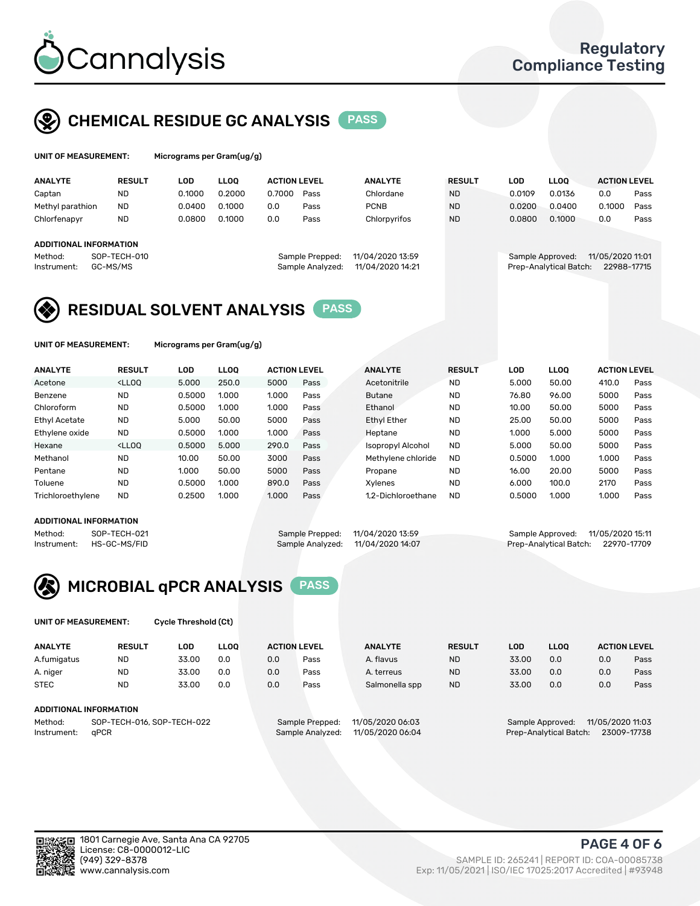

### CHEMICAL RESIDUE GC ANALYSIS PASS

| UNIT OF MEASUREMENT: | Micrograms per G |
|----------------------|------------------|
|                      |                  |

ram(ug/g)

| <b>ANALYTE</b>                                          | <b>RESULT</b>            | LOD    | <b>LLOO</b> | <b>ACTION LEVEL</b> |                                     | <b>ANALYTE</b>                       | <b>RESULT</b> | <b>LOD</b> | <b>LLOO</b>                                | <b>ACTION LEVEL</b>             |      |
|---------------------------------------------------------|--------------------------|--------|-------------|---------------------|-------------------------------------|--------------------------------------|---------------|------------|--------------------------------------------|---------------------------------|------|
| Captan                                                  | <b>ND</b>                | 0.1000 | 0.2000      | 0.7000              | Pass                                | Chlordane                            | <b>ND</b>     | 0.0109     | 0.0136                                     | 0.0                             | Pass |
| Methyl parathion                                        | <b>ND</b>                | 0.0400 | 0.1000      | 0.0                 | Pass                                | <b>PCNB</b>                          | <b>ND</b>     | 0.0200     | 0.0400                                     | 0.1000                          | Pass |
| Chlorfenapyr                                            | <b>ND</b>                | 0.0800 | 0.1000      | 0.0                 | Pass                                | Chlorpyrifos                         | <b>ND</b>     | 0.0800     | 0.1000                                     | 0.0                             | Pass |
| <b>ADDITIONAL INFORMATION</b><br>Method:<br>Instrument: | SOP-TECH-010<br>GC-MS/MS |        |             |                     | Sample Prepped:<br>Sample Analyzed: | 11/04/2020 13:59<br>11/04/2020 14:21 |               |            | Sample Approved:<br>Prep-Analytical Batch: | 11/05/2020 11:01<br>22988-17715 |      |

### RESIDUAL SOLVENT ANALYSIS PASS

UNIT OF MEASUREMENT: Micrograms per Gram(ug/g)

| <b>ANALYTE</b>       | <b>RESULT</b>                                                                                                                                                                          | LOD    | <b>LLOO</b> | <b>ACTION LEVEL</b> |      | <b>ANALYTE</b>           | <b>RESULT</b> | LOD    | <b>LLOO</b> | <b>ACTION LEVEL</b> |      |
|----------------------|----------------------------------------------------------------------------------------------------------------------------------------------------------------------------------------|--------|-------------|---------------------|------|--------------------------|---------------|--------|-------------|---------------------|------|
| Acetone              | <lloo< td=""><td>5.000</td><td>250.0</td><td>5000</td><td>Pass</td><td>Acetonitrile</td><td><b>ND</b></td><td>5.000</td><td>50.00</td><td>410.0</td><td>Pass</td></lloo<>              | 5.000  | 250.0       | 5000                | Pass | Acetonitrile             | <b>ND</b>     | 5.000  | 50.00       | 410.0               | Pass |
| Benzene              | <b>ND</b>                                                                                                                                                                              | 0.5000 | 1.000       | 1.000               | Pass | <b>Butane</b>            | <b>ND</b>     | 76.80  | 96.00       | 5000                | Pass |
| Chloroform           | <b>ND</b>                                                                                                                                                                              | 0.5000 | 1.000       | 1.000               | Pass | Ethanol                  | <b>ND</b>     | 10.00  | 50.00       | 5000                | Pass |
| <b>Ethyl Acetate</b> | <b>ND</b>                                                                                                                                                                              | 5.000  | 50.00       | 5000                | Pass | <b>Ethyl Ether</b>       | <b>ND</b>     | 25.00  | 50.00       | 5000                | Pass |
| Ethylene oxide       | <b>ND</b>                                                                                                                                                                              | 0.5000 | 1.000       | 1.000               | Pass | Heptane                  | <b>ND</b>     | 1.000  | 5.000       | 5000                | Pass |
| Hexane               | <lloo< td=""><td>0.5000</td><td>5.000</td><td>290.0</td><td>Pass</td><td><b>Isopropyl Alcohol</b></td><td><b>ND</b></td><td>5.000</td><td>50.00</td><td>5000</td><td>Pass</td></lloo<> | 0.5000 | 5.000       | 290.0               | Pass | <b>Isopropyl Alcohol</b> | <b>ND</b>     | 5.000  | 50.00       | 5000                | Pass |
| Methanol             | <b>ND</b>                                                                                                                                                                              | 10.00  | 50.00       | 3000                | Pass | Methylene chloride       | <b>ND</b>     | 0.5000 | 1.000       | 1.000               | Pass |
| Pentane              | <b>ND</b>                                                                                                                                                                              | 1.000  | 50.00       | 5000                | Pass | Propane                  | <b>ND</b>     | 16.00  | 20.00       | 5000                | Pass |
| Toluene              | <b>ND</b>                                                                                                                                                                              | 0.5000 | 1.000       | 890.0               | Pass | Xvlenes                  | <b>ND</b>     | 6.000  | 100.0       | 2170                | Pass |
| Trichloroethylene    | <b>ND</b>                                                                                                                                                                              | 0.2500 | 1.000       | 1.000               | Pass | 1.2-Dichloroethane       | <b>ND</b>     | 0.5000 | 1.000       | 1.000               | Pass |
|                      |                                                                                                                                                                                        |        |             |                     |      |                          |               |        |             |                     |      |

#### ADDITIONAL INFORMATION

Method: SOP-TECH-021 Sample Prepped: 11/04/2020 13:59 Sample Approved: 11/05/2020 15:11<br>Instrument: HS-GC-MS/FID Sample Analyzed: 11/04/2020 14:07 Prep-Analytical Batch: 22970-17709

Prep-Analytical Batch: 22970-17709



UNIT OF MEASUREMENT: Cycle Threshold (Ct)

| <b>ANALYTE</b>                        | <b>RESULT</b>                 | LOD   | <b>LLOO</b> | <b>ACTION LEVEL</b> |                  | <b>ANALYTE</b> | <b>RESULT</b> | LOD              | LL <sub>00</sub> |     | <b>ACTION LEVEL</b> |
|---------------------------------------|-------------------------------|-------|-------------|---------------------|------------------|----------------|---------------|------------------|------------------|-----|---------------------|
| A.fumigatus                           | <b>ND</b>                     | 33.00 | 0.0         | 0.0                 | Pass             | A. flavus      | <b>ND</b>     | 33.00            | 0.0              | 0.0 | Pass                |
| A. niger                              | <b>ND</b>                     | 33.00 | 0.0         | 0.0                 | Pass             | A. terreus     | <b>ND</b>     | 33.00            | 0.0              | 0.0 | Pass                |
| <b>STEC</b>                           | <b>ND</b>                     | 33.00 | 0.0         | 0.0                 | Pass             | Salmonella spp | <b>ND</b>     | 33.00            | 0.0              | 0.0 | Pass                |
|                                       | <b>ADDITIONAL INFORMATION</b> |       |             |                     |                  |                |               |                  |                  |     |                     |
| SOP-TECH-016, SOP-TECH-022<br>Method: |                               |       |             | Sample Prepped:     | 11/05/2020 06:03 |                |               | Sample Approved: | 11/05/2020 11:03 |     |                     |

Instrument: qPCR Sample Analyzed: 11/05/2020 06:04 Prep-Analytical Batch: 23009-17738

PAGE 4 OF 6

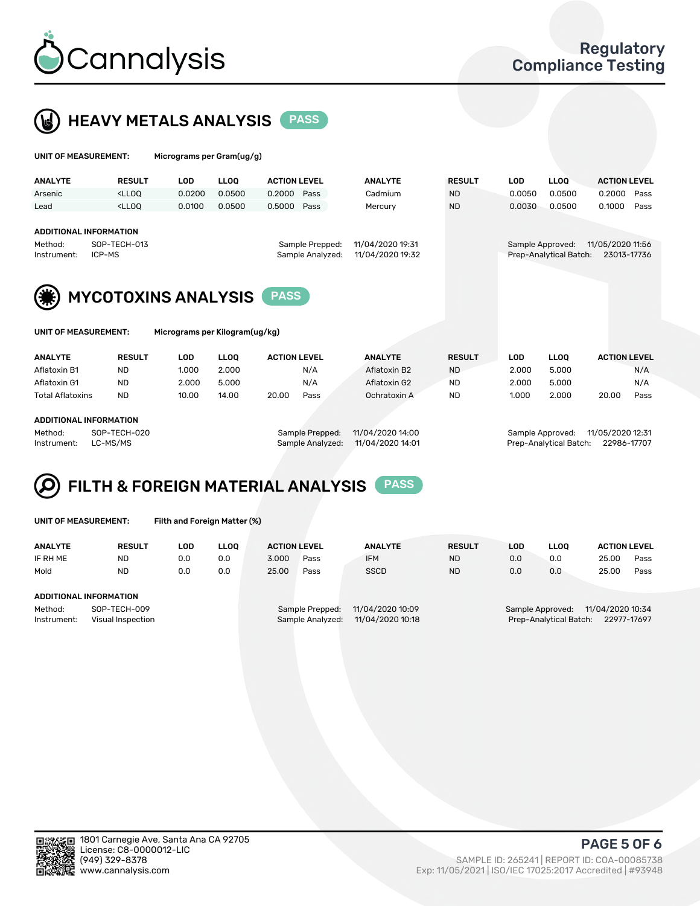



UNIT OF MEASUREMENT: Micrograms per Gram(ug/g)

| <b>ANALYTE</b>                                                                                                                                            | <b>RESULT</b>                                                                                                                                                               | LOD    | <b>LLOO</b> | <b>ACTION LEVEL</b> |      | <b>ANALYTE</b> | <b>RESULT</b> | <b>LOD</b> | <b>LLOO</b>                                | <b>ACTION LEVEL</b>             |      |
|-----------------------------------------------------------------------------------------------------------------------------------------------------------|-----------------------------------------------------------------------------------------------------------------------------------------------------------------------------|--------|-------------|---------------------|------|----------------|---------------|------------|--------------------------------------------|---------------------------------|------|
| Arsenic                                                                                                                                                   | <lloo< td=""><td>0.0200</td><td>0.0500</td><td>0.2000</td><td>Pass</td><td>Cadmium</td><td><b>ND</b></td><td>0.0050</td><td>0.0500</td><td>0.2000</td><td>Pass</td></lloo<> | 0.0200 | 0.0500      | 0.2000              | Pass | Cadmium        | <b>ND</b>     | 0.0050     | 0.0500                                     | 0.2000                          | Pass |
| Lead                                                                                                                                                      | <lloo< td=""><td>0.0100</td><td>0.0500</td><td>0.5000</td><td>Pass</td><td>Mercury</td><td><b>ND</b></td><td>0.0030</td><td>0.0500</td><td>0.1000</td><td>Pass</td></lloo<> | 0.0100 | 0.0500      | 0.5000              | Pass | Mercury        | <b>ND</b>     | 0.0030     | 0.0500                                     | 0.1000                          | Pass |
| ADDITIONAL INFORMATION<br>SOP-TECH-013<br>11/04/2020 19:31<br>Sample Prepped:<br>Method:<br>11/04/2020 19:32<br>Sample Analyzed:<br>ICP-MS<br>Instrument: |                                                                                                                                                                             |        |             |                     |      |                |               |            | Sample Approved:<br>Prep-Analytical Batch: | 11/05/2020 11:56<br>23013-17736 |      |
| (美)                                                                                                                                                       | <b>MYCOTOXINS ANALYSIS</b>                                                                                                                                                  |        |             |                     |      |                |               |            |                                            |                                 |      |

| UNIT OF MEASUREMENT: |               | Micrograms per Kilogram(ug/kg) |             |                     |      |                |               |       |             |                     |      |
|----------------------|---------------|--------------------------------|-------------|---------------------|------|----------------|---------------|-------|-------------|---------------------|------|
| <b>ANALYTE</b>       | <b>RESULT</b> | LOD                            | <b>LLOO</b> | <b>ACTION LEVEL</b> |      | <b>ANALYTE</b> | <b>RESULT</b> | LOD   | <b>LLOO</b> | <b>ACTION LEVEL</b> |      |
| Aflatoxin B1         | <b>ND</b>     | 1.000                          | 2.000       |                     | N/A  | Aflatoxin B2   | <b>ND</b>     | 2.000 | 5.000       |                     | N/A  |
| Aflatoxin G1         | <b>ND</b>     | 2.000                          | 5.000       |                     | N/A  | Aflatoxin G2   | <b>ND</b>     | 2.000 | 5.000       |                     | N/A  |
| Total Aflatoxins     | <b>ND</b>     | 10.00                          | 14.00       | 20.00               | Pass | Ochratoxin A   | <b>ND</b>     | 1.000 | 2.000       | 20.00               | Pass |
|                      |               |                                |             |                     |      |                |               |       |             |                     |      |

#### ADDITIONAL INFORMATION

Method: SOP-TECH-020 Sample Prepped: 11/04/2020 14:00 Sample Approved: 11/05/2020 12:31 Instrument: LC-MS/MS Sample Analyzed: 11/04/2020 14:01 Prep-Analytical Batch: 22986-17707

## FILTH & FOREIGN MATERIAL ANALYSIS PASS

UNIT OF MEASUREMENT: Filth and Foreign Matter (%)

| <b>ANALYTE</b>                                              | <b>RESULT</b> | LOD | <b>LLOO</b> | <b>ACTION LEVEL</b> |                                     | <b>ANALYTE</b>                       | <b>RESULT</b>                                                              | LOD | LLOO | <b>ACTION LEVEL</b> |      |
|-------------------------------------------------------------|---------------|-----|-------------|---------------------|-------------------------------------|--------------------------------------|----------------------------------------------------------------------------|-----|------|---------------------|------|
| IF RH ME                                                    | <b>ND</b>     | 0.0 | 0.0         | 3.000               | Pass                                | <b>IFM</b>                           | <b>ND</b>                                                                  | 0.0 | 0.0  | 25.00               | Pass |
| Mold                                                        | <b>ND</b>     | 0.0 | 0.0         | 25.00               | Pass                                | <b>SSCD</b>                          | <b>ND</b>                                                                  | 0.0 | 0.0  | 25.00               | Pass |
| ADDITIONAL INFORMATION                                      |               |     |             |                     |                                     |                                      |                                                                            |     |      |                     |      |
| Method:<br>SOP-TECH-009<br>Instrument:<br>Visual Inspection |               |     |             |                     | Sample Prepped:<br>Sample Analyzed: | 11/04/2020 10:09<br>11/04/2020 10:18 | Sample Approved: 11/04/2020 10:34<br>22977-17697<br>Prep-Analytical Batch: |     |      |                     |      |



PAGE 5 OF 6